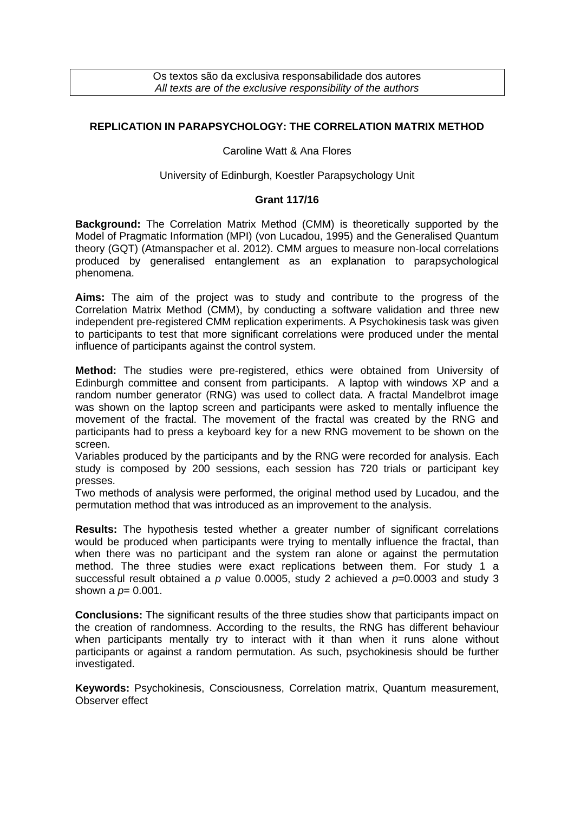Os textos são da exclusiva responsabilidade dos autores *All texts are of the exclusive responsibility of the authors*

# **REPLICATION IN PARAPSYCHOLOGY: THE CORRELATION MATRIX METHOD**

### Caroline Watt & Ana Flores

### University of Edinburgh, Koestler Parapsychology Unit

### **Grant 117/16**

**Background:** The Correlation Matrix Method (CMM) is theoretically supported by the Model of Pragmatic Information (MPI) (von Lucadou, 1995) and the Generalised Quantum theory (GQT) (Atmanspacher et al. 2012). CMM argues to measure non-local correlations produced by generalised entanglement as an explanation to parapsychological phenomena.

**Aims:** The aim of the project was to study and contribute to the progress of the Correlation Matrix Method (CMM), by conducting a software validation and three new independent pre-registered CMM replication experiments. A Psychokinesis task was given to participants to test that more significant correlations were produced under the mental influence of participants against the control system.

**Method:** The studies were pre-registered, ethics were obtained from University of Edinburgh committee and consent from participants. A laptop with windows XP and a random number generator (RNG) was used to collect data. A fractal Mandelbrot image was shown on the laptop screen and participants were asked to mentally influence the movement of the fractal. The movement of the fractal was created by the RNG and participants had to press a keyboard key for a new RNG movement to be shown on the screen.

Variables produced by the participants and by the RNG were recorded for analysis. Each study is composed by 200 sessions, each session has 720 trials or participant key presses.

Two methods of analysis were performed, the original method used by Lucadou, and the permutation method that was introduced as an improvement to the analysis.

**Results:** The hypothesis tested whether a greater number of significant correlations would be produced when participants were trying to mentally influence the fractal, than when there was no participant and the system ran alone or against the permutation method. The three studies were exact replications between them. For study 1 a successful result obtained a *p* value 0.0005, study 2 achieved a *p*=0.0003 and study 3 shown a  $p= 0.001$ .

**Conclusions:** The significant results of the three studies show that participants impact on the creation of randomness. According to the results, the RNG has different behaviour when participants mentally try to interact with it than when it runs alone without participants or against a random permutation. As such, psychokinesis should be further investigated.

**Keywords:** Psychokinesis, Consciousness, Correlation matrix, Quantum measurement, Observer effect